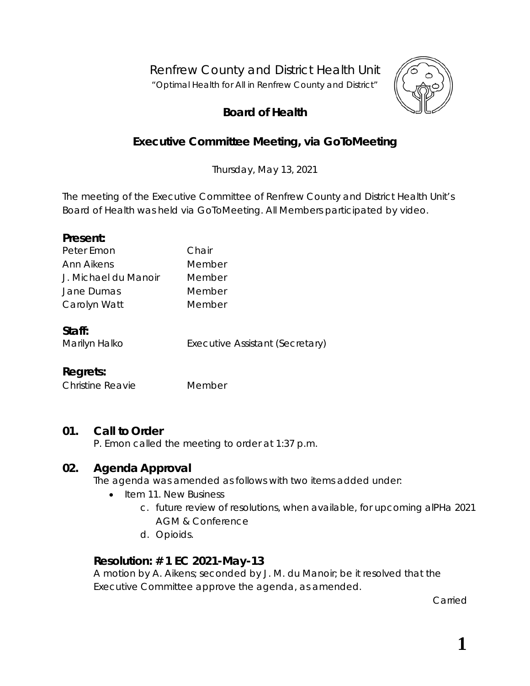Renfrew County and District Health Unit

*"Optimal Health for All in Renfrew County and District"*



# **Board of Health**

# **Executive Committee Meeting, via** *GoToMeeting*

Thursday, May 13, 2021

The meeting of the Executive Committee of Renfrew County and District Health Unit's Board of Health was held via *GoToMeeting*. All Members participated by video.

#### **Present:**

| Peter Emon           | Chair  |
|----------------------|--------|
| Ann Aikens           | Member |
| J. Michael du Manoir | Member |
| Jane Dumas           | Member |
| Carolyn Watt         | Member |
|                      |        |

#### **Staff:**

Marilyn Halko **Executive Assistant (Secretary)** 

## **Regrets:**

Christine Reavie Member

## **01. Call to Order**

P. Emon called the meeting to order at 1:37 p.m.

## **02. Agenda Approval**

The agenda was amended as follows with two items added under:

- Item 11. New Business
	- c. future review of resolutions, when available, for upcoming alPHa 2021 AGM & Conference
	- d. Opioids.

## **Resolution: # 1 EC 2021-May-13**

A motion by A. Aikens; seconded by J. M. du Manoir; be it resolved that the Executive Committee approve the agenda, as amended.

Carried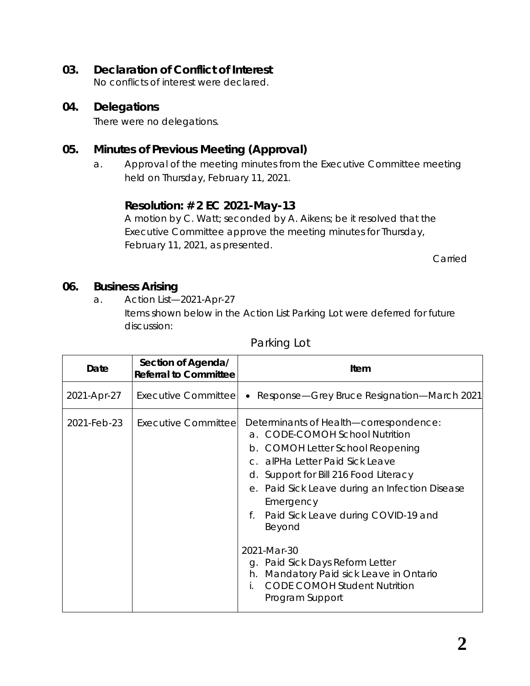## **03. Declaration of Conflict of Interest**

No conflicts of interest were declared.

#### **04. Delegations**

There were no delegations.

## **05. Minutes of Previous Meeting (Approval)**

a. Approval of the meeting minutes from the Executive Committee meeting held on Thursday, February 11, 2021.

### **Resolution: # 2 EC 2021-May-13**

A motion by C. Watt; seconded by A. Aikens; be it resolved that the Executive Committee approve the meeting minutes for Thursday, February 11, 2021, as presented.

Carried

### **06. Business Arising**

a. Action List—2021-Apr-27

Items shown below in the Action List Parking Lot were deferred for future discussion:

#### Parking Lot

| Date        | Section of Agenda/<br><b>Referral to Committee</b> | Item                                                                                                                                                                                                                                                                                                                                                                                                                                                                              |
|-------------|----------------------------------------------------|-----------------------------------------------------------------------------------------------------------------------------------------------------------------------------------------------------------------------------------------------------------------------------------------------------------------------------------------------------------------------------------------------------------------------------------------------------------------------------------|
| 2021-Apr-27 |                                                    | Executive Committee • Response—Grey Bruce Resignation—March 2021                                                                                                                                                                                                                                                                                                                                                                                                                  |
| 2021-Feb-23 | <b>Executive Committeel</b>                        | Determinants of Health-correspondence:<br>a. CODE-COMOH School Nutrition<br>COMOH Letter School Reopening<br>b.<br>c. alPHa Letter Paid Sick Leave<br>d. Support for Bill 216 Food Literacy<br>e. Paid Sick Leave during an Infection Disease<br>Emergency<br>Paid Sick Leave during COVID-19 and<br>f.<br>Beyond<br>2021-Mar-30<br>g. Paid Sick Days Reform Letter<br>Mandatory Paid sick Leave in Ontario<br>h.<br><b>CODE COMOH Student Nutrition</b><br>İ.<br>Program Support |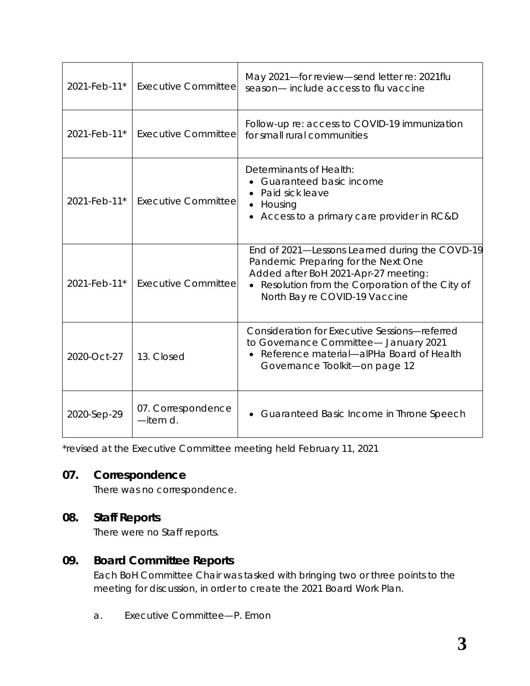| 2021-Feb-11* | <b>Executive Committee</b>     | May 2021-for review-send letter re: 2021flu<br>season-include access to flu vaccine                                                                                                                                |
|--------------|--------------------------------|--------------------------------------------------------------------------------------------------------------------------------------------------------------------------------------------------------------------|
| 2021-Feb-11* | <b>Executive Committee</b>     | Follow-up re: access to COVID-19 immunization<br>for small rural communities                                                                                                                                       |
| 2021-Feb-11* | <b>Executive Committee</b>     | Determinants of Health:<br>• Guaranteed basic income<br>Paid sick leave<br>Housing<br>$\bullet$<br>• Access to a primary care provider in RC&D                                                                     |
| 2021-Feb-11* | <b>Executive Committee</b>     | End of 2021—Lessons Learned during the COVD-19<br>Pandemic Preparing for the Next One<br>Added after BoH 2021-Apr-27 meeting:<br>• Resolution from the Corporation of the City of<br>North Bay re COVID-19 Vaccine |
| 2020-Oct-27  | 13. Closed                     | <b>Consideration for Executive Sessions-referred</b><br>to Governance Committee- January 2021<br>Reference material—alPHa Board of Health<br>$\bullet$<br>Governance Toolkit-on page 12                            |
| 2020-Sep-29  | 07. Correspondence<br>-item d. | Guaranteed Basic Income in Throne Speech                                                                                                                                                                           |

\*revised at the Executive Committee meeting held February 11, 2021

## **07. Correspondence**

There was no correspondence.

## **08. Staff Reports**

There were no Staff reports.

## **09. Board Committee Reports**

Each BoH Committee Chair was tasked with bringing two or three points to the meeting for discussion, in order to create the 2021 Board Work Plan.

a. Executive Committee—P. Emon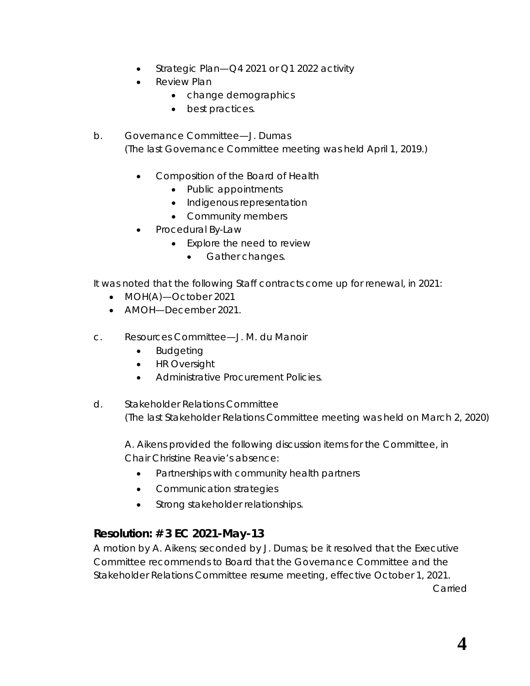- Strategic Plan—Q4 2021 or Q1 2022 activity
- **Review Plan** 
	- change demographics
	- best practices.
- b. Governance Committee—J. Dumas (The last Governance Committee meeting was held April 1, 2019.)
	- Composition of the Board of Health
		- Public appointments
		- Indigenous representation
		- Community members
	- Procedural By-Law
		- Explore the need to review
			- Gather changes.

It was noted that the following Staff contracts come up for renewal, in 2021:

- MOH(A)-October 2021
- AMOH—December 2021.
- c. Resources Committee—J. M. du Manoir
	- Budgeting
	- HR Oversight
	- Administrative Procurement Policies.
- d. Stakeholder Relations Committee (The last Stakeholder Relations Committee meeting was held on March 2, 2020)

A. Aikens provided the following discussion items for the Committee, in Chair Christine Reavie's absence:

- Partnerships with community health partners
- Communication strategies
- Strong stakeholder relationships.

## **Resolution: # 3 EC 2021-May-13**

A motion by A. Aikens; seconded by J. Dumas; be it resolved that the Executive Committee recommends to Board that the Governance Committee and the Stakeholder Relations Committee resume meeting, effective October 1, 2021.

Carried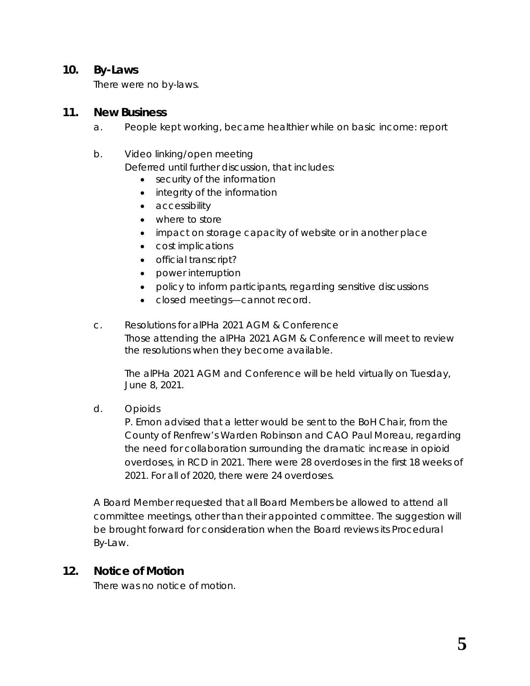#### **10. By-Laws**

There were no by-laws.

#### **11. New Business**

a. People kept working, became healthier while on basic income: report

#### b. Video linking/open meeting

Deferred until further discussion, that includes:

- security of the information
- integrity of the information
- accessibility
- where to store
- impact on storage capacity of website or in another place
- cost implications
- official transcript?
- power interruption
- policy to inform participants, regarding sensitive discussions
- closed meetings—cannot record.
- c. Resolutions for alPHa 2021 AGM & Conference Those attending the alPHa 2021 AGM & Conference will meet to review the resolutions when they become available.

The alPHa 2021 AGM and Conference will be held virtually on Tuesday, June 8, 2021.

d. Opioids

P. Emon advised that a letter would be sent to the BoH Chair, from the County of Renfrew's Warden Robinson and CAO Paul Moreau, regarding the need for collaboration surrounding the dramatic increase in opioid overdoses, in RCD in 2021. There were 28 overdoses in the first 18 weeks of 2021. For all of 2020, there were 24 overdoses.

A Board Member requested that all Board Members be allowed to attend all committee meetings, other than their appointed committee. The suggestion will be brought forward for consideration when the Board reviews its Procedural By-Law.

#### **12. Notice of Motion**

There was no notice of motion.